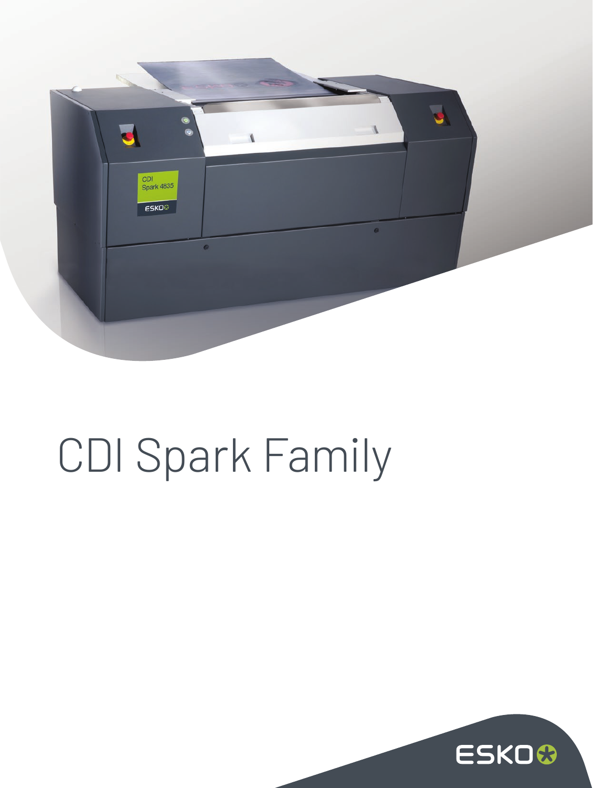

## CDI Spark Family

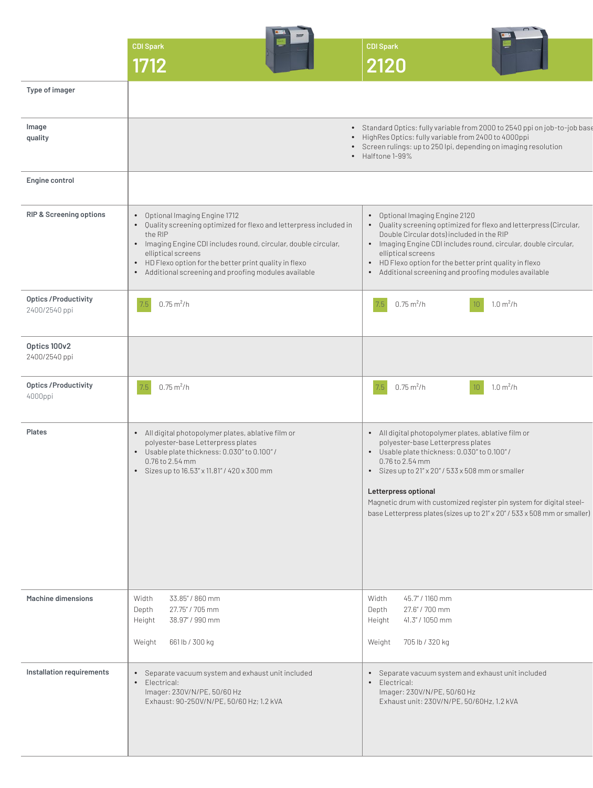|                                        | <b>CDI Spark</b><br>1712                                                                                                                                                                                                                                                                                                      | <b>CDI Spark</b><br>2120                                                                                                                                                                                                                                                                                                                                                                      |
|----------------------------------------|-------------------------------------------------------------------------------------------------------------------------------------------------------------------------------------------------------------------------------------------------------------------------------------------------------------------------------|-----------------------------------------------------------------------------------------------------------------------------------------------------------------------------------------------------------------------------------------------------------------------------------------------------------------------------------------------------------------------------------------------|
| Type of imager                         |                                                                                                                                                                                                                                                                                                                               |                                                                                                                                                                                                                                                                                                                                                                                               |
| Image<br>quality                       |                                                                                                                                                                                                                                                                                                                               | • Standard Optics: fully variable from 2000 to 2540 ppi on job-to-job base<br>• HighRes Optics: fully variable from 2400 to 4000ppi<br>• Screen rulings: up to 250 lpi, depending on imaging resolution<br>• Halftone 1-99%                                                                                                                                                                   |
| Engine control                         |                                                                                                                                                                                                                                                                                                                               |                                                                                                                                                                                                                                                                                                                                                                                               |
| RIP & Screening options                | • Optional Imaging Engine 1712<br>. Quality screening optimized for flexo and letterpress included in<br>the RIP<br>• Imaging Engine CDI includes round, circular, double circular,<br>elliptical screens<br>• HD Flexo option for the better print quality in flexo<br>• Additional screening and proofing modules available | • Optional Imaging Engine 2120<br>• Quality screening optimized for flexo and letterpress (Circular,<br>Double Circular dots) included in the RIP<br>• Imaging Engine CDI includes round, circular, double circular,<br>elliptical screens<br>• HD Flexo option for the better print quality in flexo<br>• Additional screening and proofing modules available                                |
| Optics / Productivity<br>2400/2540 ppi | 7.5<br>$0.75 \,\mathrm{m}^2/h$                                                                                                                                                                                                                                                                                                | $0.75 \,\mathrm{m}^2/h$<br>$1.0 \text{ m}^2/h$                                                                                                                                                                                                                                                                                                                                                |
| Optics 100v2<br>2400/2540 ppi          |                                                                                                                                                                                                                                                                                                                               |                                                                                                                                                                                                                                                                                                                                                                                               |
| <b>Optics/Productivity</b><br>4000ppi  | $7.5$ 0.75 m <sup>2</sup> /h                                                                                                                                                                                                                                                                                                  | 7.5<br>$0.75 \,\mathrm{m}^2/h$<br>$1.0 \text{ m}^2/h$                                                                                                                                                                                                                                                                                                                                         |
| Plates                                 | · All digital photopolymer plates, ablative film or<br>polyester-base Letterpress plates<br>• Usable plate thickness: 0.030" to 0.100" /<br>0.76 to 2.54 mm<br>• Sizes up to $16.53'' \times 11.81''$ / $420 \times 300$ mm                                                                                                   | • All digital photopolymer plates, ablative film or<br>polyester-base Letterpress plates<br>• Usable plate thickness: 0.030" to 0.100" /<br>0.76 to 2.54 mm<br>· Sizes up to 21" x 20" / 533 x 508 mm or smaller<br>Letterpress optional<br>Magnetic drum with customized register pin system for digital steel-<br>base Letterpress plates (sizes up to 21" x 20" / 533 x 508 mm or smaller) |
| <b>Machine dimensions</b>              | 33.85" / 860 mm<br>Width<br>27.75" / 705 mm<br>Depth<br>38.97" / 990 mm<br>Height<br>661 lb / 300 kg<br>Weight                                                                                                                                                                                                                | 45.7" / 1160 mm<br>Width<br>27.6" / 700 mm<br>Depth<br>Height 41.3" / 1050 mm<br>705 lb / 320 kg<br>Weight                                                                                                                                                                                                                                                                                    |
| Installation requirements              | • Separate vacuum system and exhaust unit included<br>• Electrical:<br>Imager: 230V/N/PE, 50/60 Hz<br>Exhaust: 90-250V/N/PE, 50/60 Hz; 1.2 kVA                                                                                                                                                                                | • Separate vacuum system and exhaust unit included<br>• Electrical:<br>Imager: 230V/N/PE, 50/60 Hz<br>Exhaust unit: 230V/N/PE, 50/60Hz, 1.2 kVA                                                                                                                                                                                                                                               |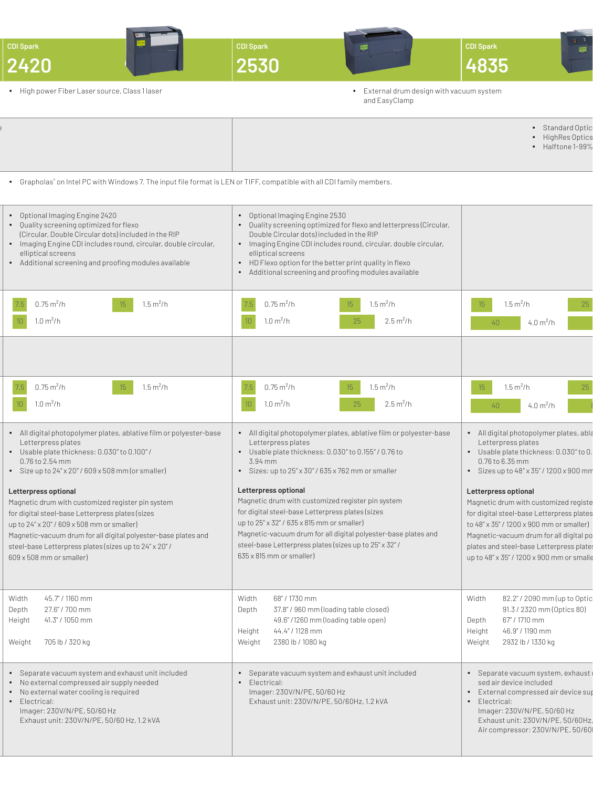| <b>CDI Spark</b><br>2420                                                                                                                                                                                                                                                                                                            | CDI Spark<br>2530                                                                                                                                                                                                                                                                                                                                              | <b>CDI Spark</b><br>4835                                                                                                                                                                                                                                                                   |
|-------------------------------------------------------------------------------------------------------------------------------------------------------------------------------------------------------------------------------------------------------------------------------------------------------------------------------------|----------------------------------------------------------------------------------------------------------------------------------------------------------------------------------------------------------------------------------------------------------------------------------------------------------------------------------------------------------------|--------------------------------------------------------------------------------------------------------------------------------------------------------------------------------------------------------------------------------------------------------------------------------------------|
| • High power Fiber Laser source, Class 1 laser                                                                                                                                                                                                                                                                                      | • External drum design with vacuum system<br>and EasyClamp                                                                                                                                                                                                                                                                                                     |                                                                                                                                                                                                                                                                                            |
|                                                                                                                                                                                                                                                                                                                                     |                                                                                                                                                                                                                                                                                                                                                                | • Standard Optic<br>• HighRes Optics<br>• Halftone 1-99%                                                                                                                                                                                                                                   |
| • Grapholas® on Intel PC with Windows 7. The input file format is LEN or TIFF, compatible with all CDI family members.                                                                                                                                                                                                              |                                                                                                                                                                                                                                                                                                                                                                |                                                                                                                                                                                                                                                                                            |
| • Optional Imaging Engine 2420<br>• Quality screening optimized for flexo<br>(Circular, Double Circular dots) included in the RIP<br>• Imaging Engine CDI includes round, circular, double circular,<br>elliptical screens<br>• Additional screening and proofing modules available                                                 | • Optional Imaging Engine 2530<br>• Quality screening optimized for flexo and letterpress (Circular,<br>Double Circular dots) included in the RIP<br>• Imaging Engine CDI includes round, circular, double circular,<br>elliptical screens<br>• HD Flexo option for the better print quality in flexo<br>• Additional screening and proofing modules available |                                                                                                                                                                                                                                                                                            |
| $7.5$ 0.75 m <sup>2</sup> /h<br>$1.5 \text{ m}^2/h$<br>$10 - 1.0 m2/h$                                                                                                                                                                                                                                                              | 7.5 $0.75 \text{ m}^2/h$<br>$1.5 \text{ m}^2/h$<br>$10 - 1.0 m2/h$<br>$2.5 \,\mathrm{m}^2/h$                                                                                                                                                                                                                                                                   | 4.0 $m^2/h$                                                                                                                                                                                                                                                                                |
| $7.5$ 0.75 m <sup>2</sup> /h<br>$1.5 \text{ m}^2/h$<br>$15 -$                                                                                                                                                                                                                                                                       | $1.5 \,\mathrm{m}^2/h$                                                                                                                                                                                                                                                                                                                                         | $1.5 \text{ m}^2/h$                                                                                                                                                                                                                                                                        |
| $10$ 1.0 m <sup>2</sup> /h                                                                                                                                                                                                                                                                                                          | $7.5$ 0.75 m <sup>2</sup> /h<br>$10$ 1.0 m <sup>2</sup> /h<br>$2.5 \,\mathrm{m}^2/h$<br>25                                                                                                                                                                                                                                                                     | 4.0 $m^2/h$                                                                                                                                                                                                                                                                                |
| • All digital photopolymer plates, ablative film or polyester-base<br>Letterpress plates<br>• Usable plate thickness: 0.030" to 0.100" /<br>0.76 to 2.54 mm<br>• Size up to $24'' \times 20''$ / 609 $\times$ 508 mm (or smaller)                                                                                                   | • All digital photopolymer plates, ablative film or polyester-base<br>Letterpress plates<br>• Usable plate thickness: 0.030" to 0.155" / 0.76 to<br>3.94 mm<br>· Sizes: up to 25" x 30" / 635 x 762 mm or smaller                                                                                                                                              | · All digital photopolymer plates, abla<br>Letterpress plates<br>· Usable plate thickness: 0.030" to 0.<br>0.76 to 6.35 mm<br>• Sizes up to $48'' \times 35''$ / $1200 \times 900$ mm                                                                                                      |
| Letterpress optional<br>Magnetic drum with customized register pin system<br>for digital steel-base Letterpress plates (sizes<br>up to 24" x 20" / 609 x 508 mm or smaller)<br>Magnetic-vacuum drum for all digital polyester-base plates and<br>steel-base Letterpress plates (sizes up to 24" x 20" /<br>609 x 508 mm or smaller) | Letterpress optional<br>Magnetic drum with customized register pin system<br>for digital steel-base Letterpress plates (sizes<br>up to 25" x 32" / 635 x 815 mm or smaller)<br>Magnetic-vacuum drum for all digital polyester-base plates and<br>steel-base Letterpress plates (sizes up to 25" x 32" /<br>635 x 815 mm or smaller)                            | Letterpress optional<br>Magnetic drum with customized registe<br>for digital steel-base Letterpress plates<br>to 48" x 35" / 1200 x 900 mm or smaller)<br>Magnetic-vacuum drum for all digital po<br>plates and steel-base Letterpress plate:<br>up to 48" x 35" / 1200 x 900 mm or smalle |
| 45.7" / 1160 mm<br>Width<br>27.6" / 700 mm<br>Depth<br>Height 41.3" / 1050 mm<br>Weight 705 lb / 320 kg                                                                                                                                                                                                                             | 68" / 1730 mm<br>Width<br>37.8" / 960 mm (loading table closed)<br>Depth<br>49.6"/1260 mm (loading table open)<br>44.4" / 1128 mm<br>Height<br>2380 lb / 1080 kg<br>Weight                                                                                                                                                                                     | 82.2" / 2090 mm (up to Optic<br>Width<br>91.3 / 2320 mm (Optics 80)<br>67" / 1710 mm<br>Depth<br>46.9" / 1190 mm<br>Height<br>2932 lb / 1330 kg<br>Weight                                                                                                                                  |
| • Separate vacuum system and exhaust unit included<br>• No external compressed air supply needed<br>• No external water cooling is required<br>• Electrical:<br>Imager: 230V/N/PE, 50/60 Hz<br>Exhaust unit: 230V/N/PE, 50/60 Hz, 1.2 kVA                                                                                           | • Separate vacuum system and exhaust unit included<br>• Electrical:<br>Imager: 230V/N/PE, 50/60 Hz<br>Exhaust unit: 230V/N/PE, 50/60Hz, 1.2 kVA                                                                                                                                                                                                                | · Separate vacuum system, exhaust<br>sed air device included<br>• External compressed air device sup<br>• Electrical:<br>Imager: 230V/N/PE, 50/60 Hz<br>Exhaust unit: 230V/N/PE, 50/60Hz,<br>Air compressor: 230V/N/PE, 50/60                                                              |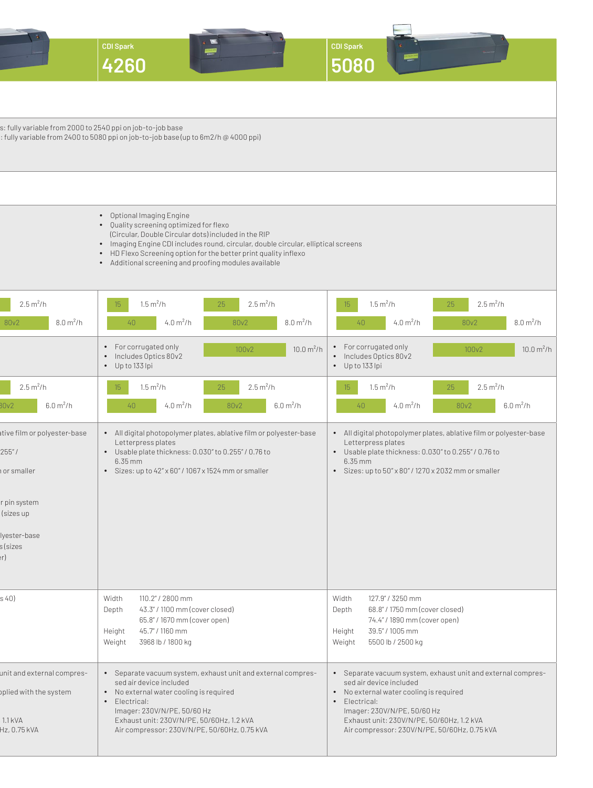|                                                                 | <b>CDI Spark</b><br><b>STATE</b><br>4260                                                                                                                                                                                                                                                                                                        | <b>CDI</b> Spark<br>5080                                                                                                                                                                                                        |  |  |
|-----------------------------------------------------------------|-------------------------------------------------------------------------------------------------------------------------------------------------------------------------------------------------------------------------------------------------------------------------------------------------------------------------------------------------|---------------------------------------------------------------------------------------------------------------------------------------------------------------------------------------------------------------------------------|--|--|
|                                                                 |                                                                                                                                                                                                                                                                                                                                                 |                                                                                                                                                                                                                                 |  |  |
| s: fully variable from 2000 to 2540 ppi on job-to-job base      | : fully variable from 2400 to 5080 ppi on job-to-job base (up to 6m2/h @ 4000 ppi)                                                                                                                                                                                                                                                              |                                                                                                                                                                                                                                 |  |  |
|                                                                 |                                                                                                                                                                                                                                                                                                                                                 |                                                                                                                                                                                                                                 |  |  |
|                                                                 | • Optional Imaging Engine<br>• Quality screening optimized for flexo<br>(Circular, Double Circular dots) included in the RIP<br>• Imaging Engine CDI includes round, circular, double circular, elliptical screens<br>• HD Flexo Screening option for the better print quality inflexo<br>• Additional screening and proofing modules available |                                                                                                                                                                                                                                 |  |  |
| $2.5 \,\mathrm{m}^2/h$<br>$8.0 \, \text{m}^2/h$<br>80v2         | $1.5 \, \text{m}^2/\text{h}$<br>15<br>$2.5 \,\mathrm{m}^2/h$<br>25<br>4.0 $m^2/h$<br>80v2<br>40<br>$8.0 \,\mathrm{m}^2/h$                                                                                                                                                                                                                       | $1.5 \text{ m}^2/h$<br>25<br>$2.5 \,\mathrm{m}^2/h$<br>15<br>$4.0 \, \text{m}^2/\text{h}$<br>40<br>80v2<br>$8.0 \,\mathrm{m}^2/h$                                                                                               |  |  |
|                                                                 | • For corrugated only<br>$10.0 \text{ m}^2/h$<br>100v2<br>• Includes Optics 80v2<br>$\bullet$ Up to 133 lpi                                                                                                                                                                                                                                     | • For corrugated only<br>100v2<br>$10.0 \text{ m}^2/h$<br>• Includes Optics 80v2<br>• Up to 133 lpi                                                                                                                             |  |  |
| $2.5 \,\mathrm{m}^2/h$<br>6.0 m <sup>2</sup> /h<br>30v2         | $2.5 \,\mathrm{m}^2/h$<br>$1.5 \text{ m}^2/h$<br>15 <sup>15</sup><br>25<br>40<br>4.0 $m^2/h$<br>80v2<br>6.0 m <sup>2</sup> /h                                                                                                                                                                                                                   | $2.5 \,\mathrm{m}^2/h$<br>$1.5 \text{ m}^2/h$<br>15 <sup>2</sup><br>25<br>4.0 $m^2/h$<br>80v2<br>6.0 m <sup>2</sup> /h<br>40                                                                                                    |  |  |
| ative film or polyester-base<br>255''/<br>or smaller            | • All digital photopolymer plates, ablative film or polyester-base<br>Letterpress plates<br>• Usable plate thickness: 0.030" to 0.255" / 0.76 to<br>$6.35$ mm<br>· Sizes: up to 42" x 60" / 1067 x 1524 mm or smaller                                                                                                                           | • All digital photopolymer plates, ablative film or polyester-base<br>Letterpress plates<br>• Usable plate thickness: 0.030" to 0.255" / 0.76 to<br>$6.35$ mm<br>· Sizes: up to 50" x 80" / 1270 x 2032 mm or smaller           |  |  |
| r pin system<br>(sizes up                                       |                                                                                                                                                                                                                                                                                                                                                 |                                                                                                                                                                                                                                 |  |  |
| lyester-base<br>s (sizes<br>er)                                 |                                                                                                                                                                                                                                                                                                                                                 |                                                                                                                                                                                                                                 |  |  |
| s 40)                                                           | 110.2" / 2800 mm<br>Width<br>43.3" / 1100 mm (cover closed)<br>Depth<br>65.8" / 1670 mm (cover open)<br>45.7" / 1160 mm<br>Height<br>Weight<br>3968 lb / 1800 kg                                                                                                                                                                                | 127.9" / 3250 mm<br>Width<br>68.8" / 1750 mm (cover closed)<br>Depth<br>74.4" / 1890 mm (cover open)<br>39.5" / 1005 mm<br>Height<br>5500 lb / 2500 kg<br>Weight                                                                |  |  |
| unit and external compres-<br>oplied with the system<br>1.1 kVA | • Separate vacuum system, exhaust unit and external compres-<br>sed air device included<br>• No external water cooling is required<br>• Electrical:<br>Imager: 230V/N/PE, 50/60 Hz<br>Exhaust unit: 230V/N/PE, 50/60Hz, 1.2 kVA                                                                                                                 | • Separate vacuum system, exhaust unit and external compres-<br>sed air device included<br>• No external water cooling is required<br>• Electrical:<br>Imager: 230V/N/PE, 50/60 Hz<br>Exhaust unit: 230V/N/PE, 50/60Hz, 1.2 kVA |  |  |
| Hz, 0.75 kVA                                                    | Air compressor: 230V/N/PE, 50/60Hz, 0.75 kVA                                                                                                                                                                                                                                                                                                    | Air compressor: 230V/N/PE, 50/60Hz, 0.75 kVA                                                                                                                                                                                    |  |  |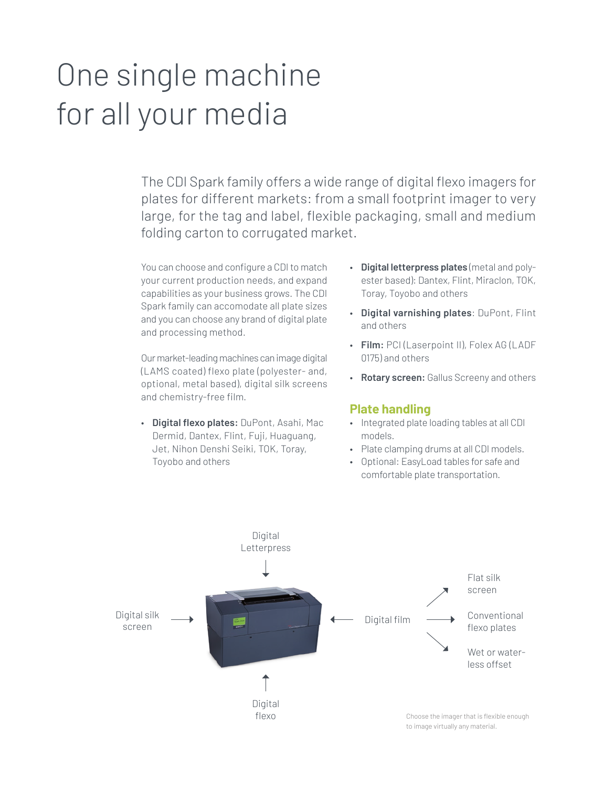## One single machine for all your media

The CDI Spark family offers a wide range of digital flexo imagers for plates for different markets: from a small footprint imager to very large, for the tag and label, flexible packaging, small and medium folding carton to corrugated market.

You can choose and configure a CDI to match your current production needs, and expand capabilities as your business grows. The CDI Spark family can accomodate all plate sizes and you can choose any brand of digital plate and processing method.

Our market-leading machines can image digital (LAMS coated) flexo plate (polyester- and, optional, metal based), digital silk screens and chemistry-free film.

• **Digital flexo plates:** DuPont, Asahi, Mac Dermid, Dantex, Flint, Fuji, Huaguang, Jet, Nihon Denshi Seiki, TOK, Toray, Toyobo and others

- **Digital letterpress plates** (metal and polyester based): Dantex, Flint, Miraclon, TOK, Toray, Toyobo and others
- **Digital varnishing plates**: DuPont, Flint and others
- **Film:** PCI (Laserpoint II), Folex AG (LADF 0175) and others
- **Rotary screen:** Gallus Screeny and others

## **Plate handling**

- Integrated plate loading tables at all CDI models.
- Plate clamping drums at all CDI models.
- Optional: EasyLoad tables for safe and comfortable plate transportation.